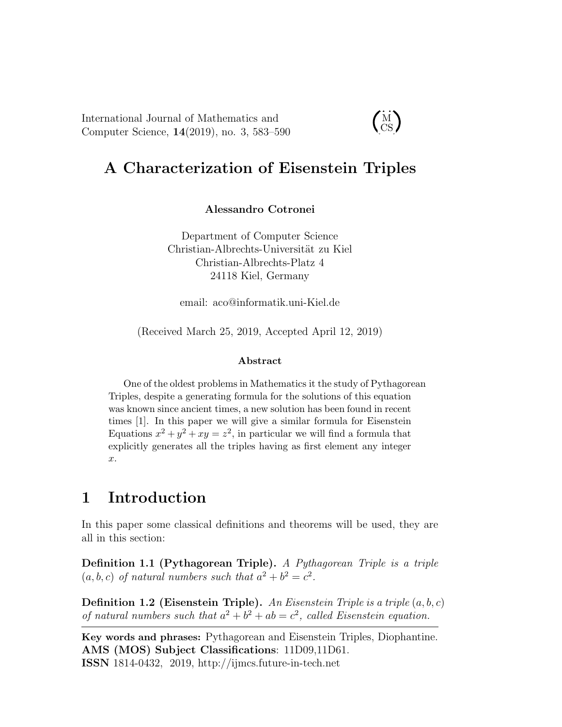International Journal of Mathematics and Computer Science, 14(2019), no. 3, 583–590

 $\dot{M}$ CS

# A Characterization of Eisenstein Triples

Alessandro Cotronei

Department of Computer Science Christian-Albrechts-Universität zu Kiel Christian-Albrechts-Platz 4 24118 Kiel, Germany

email: aco@informatik.uni-Kiel.de

(Received March 25, 2019, Accepted April 12, 2019)

#### Abstract

One of the oldest problems in Mathematics it the study of Pythagorean Triples, despite a generating formula for the solutions of this equation was known since ancient times, a new solution has been found in recent times [1]. In this paper we will give a similar formula for Eisenstein Equations  $x^2 + y^2 + xy = z^2$ , in particular we will find a formula that explicitly generates all the triples having as first element any integer x.

## 1 Introduction

In this paper some classical definitions and theorems will be used, they are all in this section:

Definition 1.1 (Pythagorean Triple). *A Pythagorean Triple is a triple*  $(a, b, c)$  *of natural numbers such that*  $a^2 + b^2 = c^2$ *.* 

Definition 1.2 (Eisenstein Triple). *An Eisenstein Triple is a triple* (a, b, c) of natural numbers such that  $a^2 + b^2 + ab = c^2$ , called Eisenstein equation.

Key words and phrases: Pythagorean and Eisenstein Triples, Diophantine. AMS (MOS) Subject Classifications: 11D09,11D61. ISSN 1814-0432, 2019, http://ijmcs.future-in-tech.net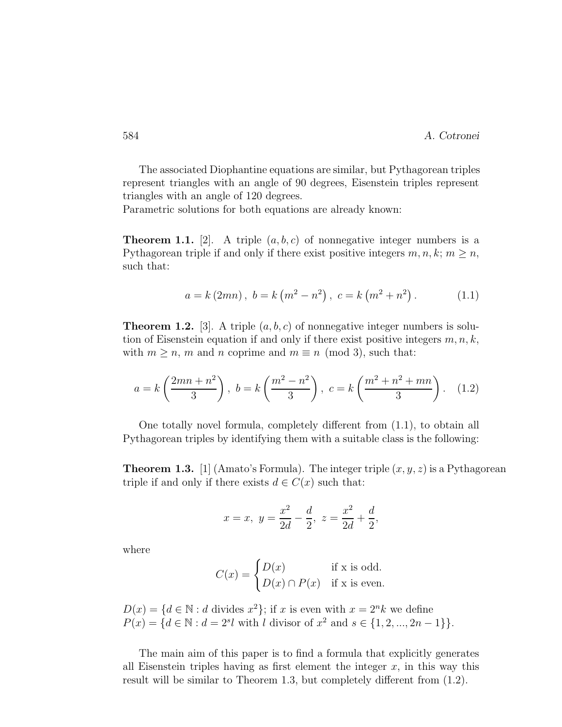The associated Diophantine equations are similar, but Pythagorean triples represent triangles with an angle of 90 degrees, Eisenstein triples represent triangles with an angle of 120 degrees.

Parametric solutions for both equations are already known:

**Theorem 1.1.** [2]. A triple  $(a, b, c)$  of nonnegative integer numbers is a Pythagorean triple if and only if there exist positive integers  $m, n, k; m \geq n$ , such that:

$$
a = k (2mn), b = k (m2 – n2), c = k (m2 + n2).
$$
 (1.1)

**Theorem 1.2.** [3]. A triple  $(a, b, c)$  of nonnegative integer numbers is solution of Eisenstein equation if and only if there exist positive integers  $m, n, k$ , with  $m \geq n$ , m and n coprime and  $m \equiv n \pmod{3}$ , such that:

$$
a = k\left(\frac{2mn + n^2}{3}\right), \ b = k\left(\frac{m^2 - n^2}{3}\right), \ c = k\left(\frac{m^2 + n^2 + mn}{3}\right). \tag{1.2}
$$

One totally novel formula, completely different from (1.1), to obtain all Pythagorean triples by identifying them with a suitable class is the following:

**Theorem 1.3.** [1] (Amato's Formula). The integer triple  $(x, y, z)$  is a Pythagorean triple if and only if there exists  $d \in C(x)$  such that:

$$
x = x, y = \frac{x^2}{2d} - \frac{d}{2}, z = \frac{x^2}{2d} + \frac{d}{2},
$$

where

$$
C(x) = \begin{cases} D(x) & \text{if x is odd.} \\ D(x) \cap P(x) & \text{if x is even.} \end{cases}
$$

 $D(x) = \{d \in \mathbb{N} : d \text{ divides } x^2\}; \text{ if } x \text{ is even with } x = 2^n k \text{ we define }$  $P(x) = \{d \in \mathbb{N} : d = 2^{s}l \text{ with } l \text{ divisor of } x^2 \text{ and } s \in \{1, 2, ..., 2n - 1\}\}.$ 

The main aim of this paper is to find a formula that explicitly generates all Eisenstein triples having as first element the integer  $x$ , in this way this result will be similar to Theorem 1.3, but completely different from (1.2).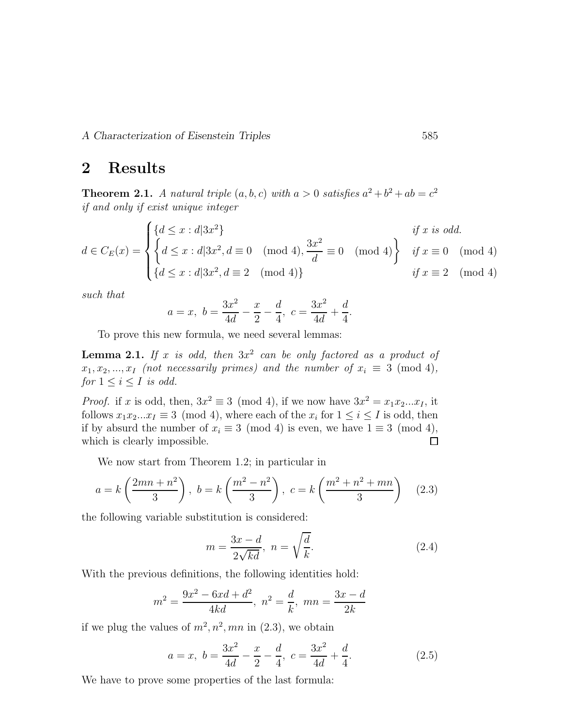A Characterization of Eisenstein Triples 585

### 2 Results

**Theorem 2.1.** *A natural triple*  $(a, b, c)$  *with*  $a > 0$  *satisfies*  $a^2 + b^2 + ab = c^2$ *if and only if exist unique integer*

$$
d \in C_E(x) = \begin{cases} \{d \le x : d|3x^2\} & \text{if } x \text{ is odd.} \\ \left\{d \le x : d|3x^2, d \equiv 0 \pmod{4}, \frac{3x^2}{d} \equiv 0 \pmod{4} \right\} & \text{if } x \equiv 0 \pmod{4} \\ \left\{d \le x : d|3x^2, d \equiv 2 \pmod{4} \right\} & \text{if } x \equiv 2 \pmod{4} \end{cases}
$$

*such that*

$$
a = x, b = \frac{3x^2}{4d} - \frac{x}{2} - \frac{d}{4}, c = \frac{3x^2}{4d} + \frac{d}{4}.
$$

To prove this new formula, we need several lemmas:

**Lemma 2.1.** If x is odd, then  $3x^2$  can be only factored as a product of  $x_1, x_2, \ldots, x_I$  *(not necessarily primes) and the number of*  $x_i \equiv 3 \pmod{4}$ , *for*  $1 \leq i \leq I$  *is odd.* 

*Proof.* if x is odd, then,  $3x^2 \equiv 3 \pmod{4}$ , if we now have  $3x^2 = x_1x_2...x_I$ , it follows  $x_1x_2...x_I \equiv 3 \pmod{4}$ , where each of the  $x_i$  for  $1 \le i \le I$  is odd, then if by absurd the number of  $x_i \equiv 3 \pmod{4}$  is even, we have  $1 \equiv 3 \pmod{4}$ , which is clearly impossible. □ which is clearly impossible.

We now start from Theorem 1.2; in particular in

$$
a = k \left(\frac{2mn + n^2}{3}\right), \ b = k \left(\frac{m^2 - n^2}{3}\right), \ c = k \left(\frac{m^2 + n^2 + mn}{3}\right) \tag{2.3}
$$

the following variable substitution is considered:

$$
m = \frac{3x - d}{2\sqrt{kd}}, \quad n = \sqrt{\frac{d}{k}}.\tag{2.4}
$$

With the previous definitions, the following identities hold:

$$
m^{2} = \frac{9x^{2} - 6xd + d^{2}}{4kd}, \ n^{2} = \frac{d}{k}, \ mn = \frac{3x - d}{2k}
$$

if we plug the values of  $m^2, n^2, mn$  in (2.3), we obtain

$$
a = x, \ b = \frac{3x^2}{4d} - \frac{x}{2} - \frac{d}{4}, \ c = \frac{3x^2}{4d} + \frac{d}{4}.
$$
 (2.5)

We have to prove some properties of the last formula: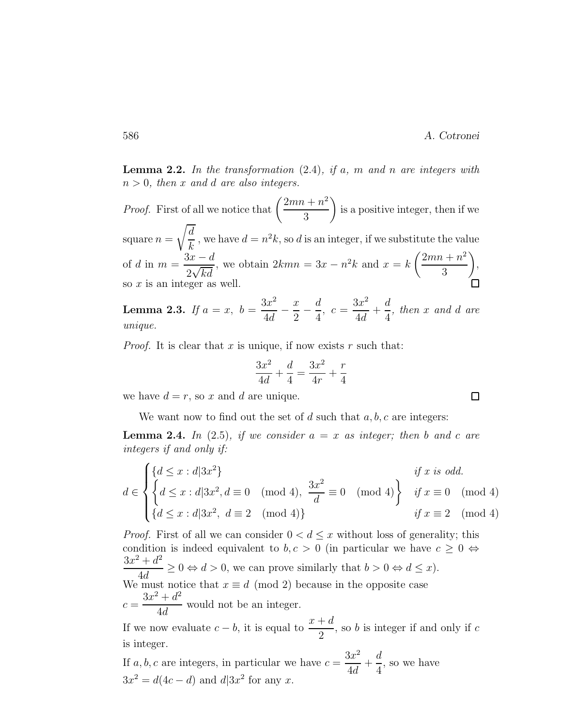Lemma 2.2. *In the transformation* (2.4)*, if* a*,* m *and* n *are integers with* n > 0*, then* x *and* d *are also integers.*

*Proof.* First of all we notice that  $\left(\frac{2mn+n^2}{2}\right)$ 3  $\setminus$ is a positive integer, then if we square  $n =$  $\sqrt{d}$  $\frac{a}{k}$ , we have  $d = n^2k$ , so d is an integer, if we substitute the value of d in  $m = \frac{3x - d}{2\sqrt{1-x^2}}$  $\frac{\partial x - d}{\partial x \sqrt{kd}}$ , we obtain  $2kmn = 3x - n^2k$  and  $x = k\left(\frac{2mn + n^2}{3}\right)$ 3  $\setminus$ , so x is an integer as well.

**Lemma 2.3.** *If*  $a = x, b =$  $3x^2$  $\frac{1}{4d}$  –  $\boldsymbol{x}$  $\frac{1}{2}$ d 4  $, c =$  $3x^2$  $\frac{3x}{4d}$  + d 4 *, then* x *and* d *are unique.*

*Proof.* It is clear that x is unique, if now exists r such that:

$$
\frac{3x^2}{4d} + \frac{d}{4} = \frac{3x^2}{4r} + \frac{r}{4}
$$

we have  $d = r$ , so x and d are unique.

We want now to find out the set of d such that  $a, b, c$  are integers:

**Lemma 2.4.** In (2.5), if we consider  $a = x$  as integer; then b and c are *integers if and only if:*

$$
d \in \begin{cases} \{d \le x : d | 3x^2\} & \text{if } x \text{ is odd.} \\ \left\{d \le x : d | 3x^2, d \equiv 0 \pmod{4}, \frac{3x^2}{d} \equiv 0 \pmod{4} \right\} & \text{if } x \equiv 0 \pmod{4} \\ \{d \le x : d | 3x^2, d \equiv 2 \pmod{4} \} & \text{if } x \equiv 2 \pmod{4} \end{cases}
$$

*Proof.* First of all we can consider  $0 < d \leq x$  without loss of generality; this condition is indeed equivalent to  $b, c > 0$  (in particular we have  $c \ge 0 \Leftrightarrow$  $3x^2 + d^2$  $\frac{1}{4d} \geq 0 \Leftrightarrow d > 0$ , we can prove similarly that  $b > 0 \Leftrightarrow d \leq x$ ). We must notice that  $x \equiv d \pmod{2}$  because in the opposite case  $c =$  $3x^2 + d^2$  $\frac{1}{4d}$  would not be an integer.

If we now evaluate  $c - b$ , it is equal to  $\frac{x+d}{2}$ , so  $b$  is integer if and only if  $c$ is integer.

If  $a, b, c$  are integers, in particular we have  $c =$  $3x^2$  $\frac{3x}{4d}$  + d 4 , so we have  $3x^2 = d(4c - d)$  and  $d|3x^2$  for any x.

 $\Box$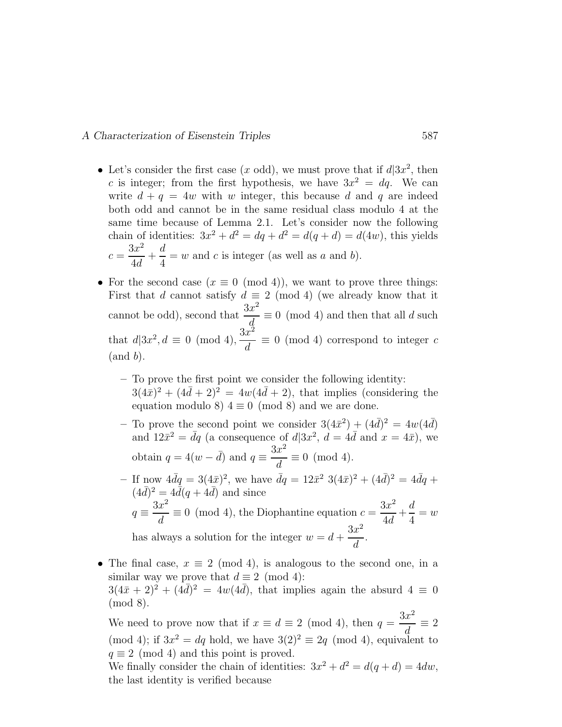#### A Characterization of Eisenstein Triples 587

- Let's consider the first case  $(x \text{ odd})$ , we must prove that if  $d|3x^2$ , then c is integer; from the first hypothesis, we have  $3x^2 = dq$ . We can write  $d + q = 4w$  with w integer, this because d and q are indeed both odd and cannot be in the same residual class modulo 4 at the same time because of Lemma 2.1. Let's consider now the following chain of identities:  $3x^2 + d^2 = dq + d^2 = d(q + d) = d(4w)$ , this yields  $c =$  $3x^2$  $\frac{3k}{4d}$  + d 4  $= w$  and c is integer (as well as a and b).
- For the second case  $(x \equiv 0 \pmod{4})$ , we want to prove three things: First that d cannot satisfy  $d \equiv 2 \pmod{4}$  (we already know that it cannot be odd), second that  $\frac{3x^2}{4}$  $\frac{d}{d} \equiv 0 \pmod{4}$  and then that all d such that  $d|3x^2, d \equiv 0 \pmod{4}$ ,  $3x^2$  $\frac{d}{d} \equiv 0 \pmod{4}$  correspond to integer c  $(and b).$ 
	- To prove the first point we consider the following identity:  $3(4\bar{x})^2 + (4\bar{d} + 2)^2 = 4w(4\bar{d} + 2)$ , that implies (considering the equation modulo 8)  $4 \equiv 0 \pmod{8}$  and we are done.
	- To prove the second point we consider  $3(4\bar{x}^2) + (4\bar{d})^2 = 4w(4\bar{d})$ and  $12\bar{x}^2 = \bar{d}q$  (a consequence of  $d|3x^2$ ,  $\bar{d} = 4\bar{d}$  and  $x = 4\bar{x}$ ), we obtain  $q = 4(w - \bar{d})$  and  $q \equiv \frac{3x^2}{d}$  $\frac{d}{d} \equiv 0 \pmod{4}.$
	- If now  $4\bar{d}q = 3(4\bar{x})^2$ , we have  $\bar{d}q = 12\bar{x}^2 \ 3(4\bar{x})^2 + (4\bar{d})^2 = 4\bar{d}q +$  $(4\bar{d})^2 = 4\bar{d}(q + 4\bar{d})$  and since  $q \equiv$  $3x^2$  $\frac{d}{d} \equiv 0 \pmod{4}$ , the Diophantine equation  $c =$  $3x^2$  $\frac{3x}{4d} +$ d 4  $= w$ has always a solution for the integer  $w = d +$  $3x^2$  $\frac{d}{d}$ .
- The final case,  $x \equiv 2 \pmod{4}$ , is analogous to the second one, in a similar way we prove that  $d \equiv 2 \pmod{4}$ :  $3(4\bar{x} + 2)^2 + (4\bar{d})^2 = 4w(4\bar{d})$ , that implies again the absurd  $4 \equiv 0$ (mod 8).

We need to prove now that if  $x \equiv d \equiv 2 \pmod{4}$ , then  $q =$  $3x^2$  $\frac{d}{d} \equiv 2$ (mod 4); if  $3x^2 = dq$  hold, we have  $3(2)^2 \equiv 2q \pmod{4}$ , equivalent to  $q \equiv 2 \pmod{4}$  and this point is proved.

We finally consider the chain of identities:  $3x^2 + d^2 = d(q + d) = 4dw$ , the last identity is verified because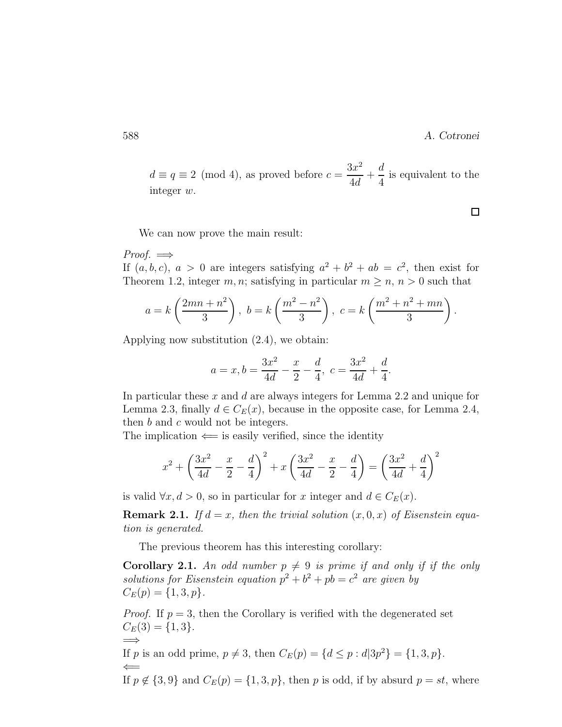#### 588 A. Cotronei

.

 $d \equiv q \equiv 2 \pmod{4}$ , as proved before  $c =$  $3x^2$  $\frac{d}{4d}$ d 4 is equivalent to the integer w.

We can now prove the main result:

 $Proof. \implies$ If  $(a, b, c)$ ,  $a > 0$  are integers satisfying  $a^2 + b^2 + ab = c^2$ , then exist for Theorem 1.2, integer  $m, n$ ; satisfying in particular  $m \geq n$ ,  $n > 0$  such that

$$
a = k\left(\frac{2mn + n^2}{3}\right), b = k\left(\frac{m^2 - n^2}{3}\right), c = k\left(\frac{m^2 + n^2 + mn}{3}\right)
$$

Applying now substitution (2.4), we obtain:

$$
a = x, b = \frac{3x^2}{4d} - \frac{x}{2} - \frac{d}{4}, c = \frac{3x^2}{4d} + \frac{d}{4}.
$$

In particular these  $x$  and  $d$  are always integers for Lemma 2.2 and unique for Lemma 2.3, finally  $d \in C_E(x)$ , because in the opposite case, for Lemma 2.4, then b and c would not be integers.

The implication  $\Leftarrow$  is easily verified, since the identity

$$
x^{2} + \left(\frac{3x^{2}}{4d} - \frac{x}{2} - \frac{d}{4}\right)^{2} + x\left(\frac{3x^{2}}{4d} - \frac{x}{2} - \frac{d}{4}\right) = \left(\frac{3x^{2}}{4d} + \frac{d}{4}\right)^{2}
$$

is valid  $\forall x, d > 0$ , so in particular for x integer and  $d \in C_E(x)$ .

**Remark 2.1.** If  $d = x$ , then the trivial solution  $(x, 0, x)$  of Eisenstein equa*tion is generated.*

The previous theorem has this interesting corollary:

**Corollary 2.1.** An odd number  $p \neq 9$  is prime if and only if if the only solutions for Eisenstein equation  $p^2 + b^2 + pb = c^2$  are given by  $C_E(p) = \{1, 3, p\}.$ 

*Proof.* If  $p = 3$ , then the Corollary is verified with the degenerated set  $C_E(3) = \{1,3\}.$ =⇒

If p is an odd prime,  $p \neq 3$ , then  $C_E(p) = \{d \leq p : d | 3p^2\} = \{1, 3, p\}.$ 

 $\Leftarrow$ If  $p \notin \{3, 9\}$  and  $C_E(p) = \{1, 3, p\}$ , then p is odd, if by absurd  $p = st$ , where

 $\Box$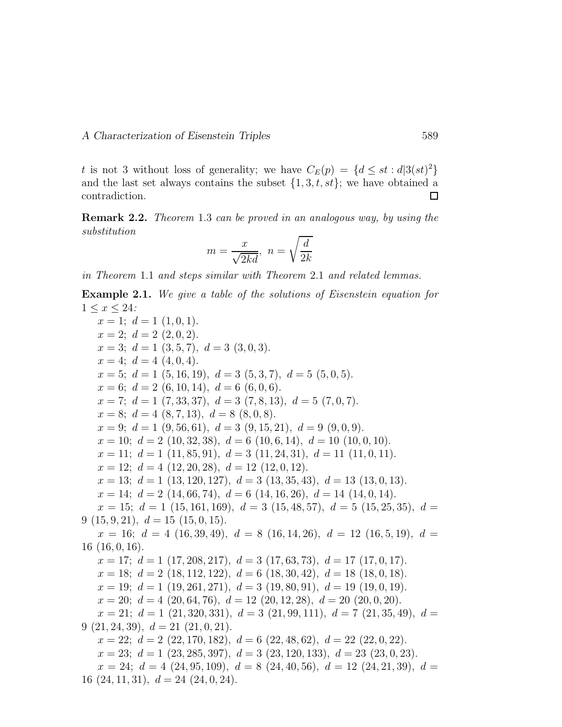t is not 3 without loss of generality; we have  $C_E(p) = \{d \leq st : d|3(st)^2\}$ and the last set always contains the subset  $\{1, 3, t, st\}$ ; we have obtained a contradiction. contradiction.

Remark 2.2. *Theorem* 1.3 *can be proved in an analogous way, by using the substitution*

$$
m = \frac{x}{\sqrt{2kd}}, \ n = \sqrt{\frac{d}{2k}}
$$

*in Theorem* 1.1 *and steps similar with Theorem* 2.1 *and related lemmas.*

Example 2.1. *We give a table of the solutions of Eisenstein equation for* 1 ≤ x ≤ 24*:*

 $x = 1$ ;  $d = 1$  (1, 0, 1).  $x = 2$ ;  $d = 2$   $(2, 0, 2)$ .  $x = 3; d = 1 (3, 5, 7), d = 3 (3, 0, 3).$  $x = 4$ ;  $d = 4$  (4, 0, 4).  $x = 5$ ;  $d = 1$  (5, 16, 19),  $d = 3$  (5, 3, 7),  $d = 5$  (5, 0, 5).  $x = 6$ ;  $d = 2$  (6, 10, 14),  $d = 6$  (6, 0, 6).  $x = 7$ ;  $d = 1$  (7, 33, 37),  $d = 3$  (7, 8, 13),  $d = 5$  (7, 0, 7).  $x = 8$ ;  $d = 4 (8, 7, 13), d = 8 (8, 0, 8).$  $x = 9; d = 1 (9, 56, 61), d = 3 (9, 15, 21), d = 9 (9, 0, 9).$  $x = 10$ ;  $d = 2$  (10, 32, 38),  $d = 6$  (10, 6, 14),  $d = 10$  (10, 0, 10).  $x = 11; d = 1 (11, 85, 91), d = 3 (11, 24, 31), d = 11 (11, 0, 11).$  $x = 12$ ;  $d = 4$  (12, 20, 28),  $d = 12$  (12, 0, 12).  $x = 13; d = 1 (13, 120, 127), d = 3 (13, 35, 43), d = 13 (13, 0, 13).$  $x = 14$ ;  $d = 2$  (14, 66, 74),  $d = 6$  (14, 16, 26),  $d = 14$  (14, 0, 14).  $x = 15$ ;  $d = 1$  (15, 161, 169),  $d = 3$  (15, 48, 57),  $d = 5$  (15, 25, 35),  $d =$  $9(15, 9, 21), d = 15(15, 0, 15).$  $x = 16$ ;  $d = 4$  (16, 39, 49),  $d = 8$  (16, 14, 26),  $d = 12$  (16, 5, 19),  $d =$ 16 (16, 0, 16).  $x = 17; d = 1 (17, 208, 217), d = 3 (17, 63, 73), d = 17 (17, 0, 17).$  $x = 18$ ;  $d = 2$  (18, 112, 122),  $d = 6$  (18, 30, 42),  $d = 18$  (18, 0, 18).  $x = 19; d = 1 (19, 261, 271), d = 3 (19, 80, 91), d = 19 (19, 0, 19).$  $x = 20$ ;  $d = 4$  (20, 64, 76),  $d = 12$  (20, 12, 28),  $d = 20$  (20, 0, 20).  $x = 21$ ;  $d = 1$  (21, 320, 331),  $d = 3$  (21, 99, 111),  $d = 7$  (21, 35, 49),  $d =$  $9(21, 24, 39), d = 21(21, 0, 21).$  $x = 22$ ;  $d = 2$  (22, 170, 182),  $d = 6$  (22, 48, 62),  $d = 22$  (22, 0, 22).  $x = 23; d = 1 (23, 285, 397), d = 3 (23, 120, 133), d = 23 (23, 0, 23).$  $x = 24$ ;  $d = 4$  (24, 95, 109),  $d = 8$  (24, 40, 56),  $d = 12$  (24, 21, 39),  $d =$ 16  $(24, 11, 31), d = 24$   $(24, 0, 24).$